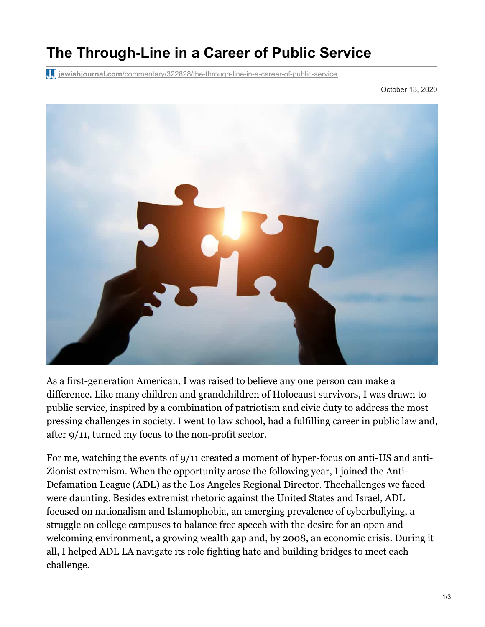## **The Through-Line in a Career of Public Service**

**jewishjournal.com**[/commentary/322828/the-through-line-in-a-career-of-public-service](https://jewishjournal.com/commentary/322828/the-through-line-in-a-career-of-public-service/)

October 13, 2020



As a first-generation American, I was raised to believe any one person can make a difference. Like many children and grandchildren of Holocaust survivors, I was drawn to public service, inspired by a combination of patriotism and civic duty to address the most pressing challenges in society. I went to law school, had a fulfilling career in public law and, after 9/11, turned my focus to the non-profit sector.

For me, watching the events of 9/11 created a moment of hyper-focus on anti-US and anti-Zionist extremism. When the opportunity arose the following year, I joined the Anti-Defamation League (ADL) as the Los Angeles Regional Director. Thechallenges we faced were daunting. Besides extremist rhetoric against the United States and Israel, ADL focused on nationalism and Islamophobia, an emerging prevalence of cyberbullying, a struggle on college campuses to balance free speech with the desire for an open and welcoming environment, a growing wealth gap and, by 2008, an economic crisis. During it all, I helped ADL LA navigate its role fighting hate and building bridges to meet each challenge.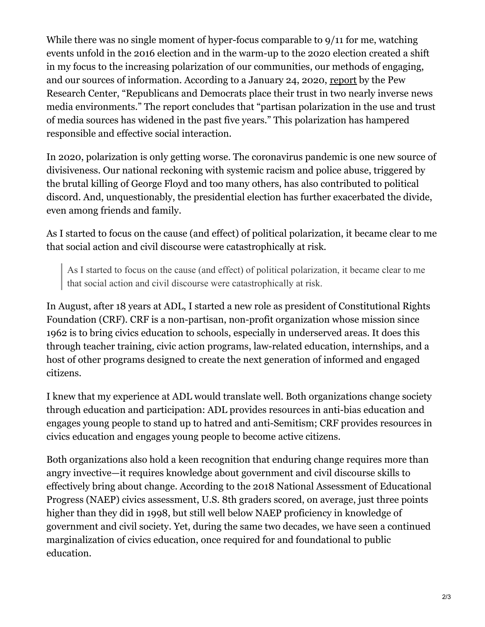While there was no single moment of hyper-focus comparable to 9/11 for me, watching events unfold in the 2016 election and in the warm-up to the 2020 election created a shift in my focus to the increasing polarization of our communities, our methods of engaging, and our sources of information. According to a January 24, 2020, [report](https://www.journalism.org/2020/01/24/u-s-media-polarization-and-the-2020-election-a-nation-divided/) by the Pew Research Center, "Republicans and Democrats place their trust in two nearly inverse news media environments." The report concludes that "partisan polarization in the use and trust of media sources has widened in the past five years." This polarization has hampered responsible and effective social interaction.

In 2020, polarization is only getting worse. The coronavirus pandemic is one new source of divisiveness. Our national reckoning with systemic racism and police abuse, triggered by the brutal killing of George Floyd and too many others, has also contributed to political discord. And, unquestionably, the presidential election has further exacerbated the divide, even among friends and family.

As I started to focus on the cause (and effect) of political polarization, it became clear to me that social action and civil discourse were catastrophically at risk.

As I started to focus on the cause (and effect) of political polarization, it became clear to me that social action and civil discourse were catastrophically at risk.

In August, after 18 years at ADL, I started a new role as president of Constitutional Rights Foundation (CRF). CRF is a non-partisan, non-profit organization whose mission since 1962 is to bring civics education to schools, especially in underserved areas. It does this through teacher training, civic action programs, law-related education, internships, and a host of other programs designed to create the next generation of informed and engaged citizens.

I knew that my experience at ADL would translate well. Both organizations change society through education and participation: ADL provides resources in anti-bias education and engages young people to stand up to hatred and anti-Semitism; CRF provides resources in civics education and engages young people to become active citizens.

Both organizations also hold a keen recognition that enduring change requires more than angry invective—it requires knowledge about government and civil discourse skills to effectively bring about change. According to the 2018 National Assessment of Educational Progress (NAEP) civics assessment, U.S. 8th graders scored, on average, just three points higher than they did in 1998, but still well below NAEP proficiency in knowledge of government and civil society. Yet, during the same two decades, we have seen a continued marginalization of civics education, once required for and foundational to public education.